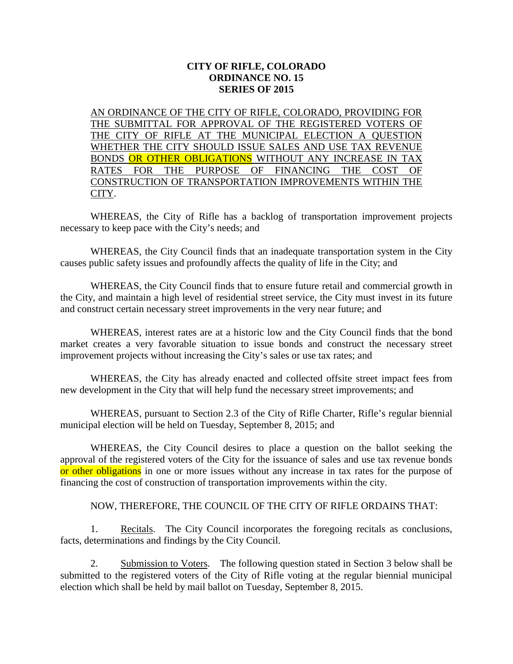## **CITY OF RIFLE, COLORADO ORDINANCE NO. 15 SERIES OF 2015**

AN ORDINANCE OF THE CITY OF RIFLE, COLORADO, PROVIDING FOR THE SUBMITTAL FOR APPROVAL OF THE REGISTERED VOTERS OF THE CITY OF RIFLE AT THE MUNICIPAL ELECTION A QUESTION WHETHER THE CITY SHOULD ISSUE SALES AND USE TAX REVENUE BONDS OR OTHER OBLIGATIONS WITHOUT ANY INCREASE IN TAX RATES FOR THE PURPOSE OF FINANCING THE COST OF CONSTRUCTION OF TRANSPORTATION IMPROVEMENTS WITHIN THE CITY.

WHEREAS, the City of Rifle has a backlog of transportation improvement projects necessary to keep pace with the City's needs; and

WHEREAS, the City Council finds that an inadequate transportation system in the City causes public safety issues and profoundly affects the quality of life in the City; and

WHEREAS, the City Council finds that to ensure future retail and commercial growth in the City, and maintain a high level of residential street service, the City must invest in its future and construct certain necessary street improvements in the very near future; and

WHEREAS, interest rates are at a historic low and the City Council finds that the bond market creates a very favorable situation to issue bonds and construct the necessary street improvement projects without increasing the City's sales or use tax rates; and

WHEREAS, the City has already enacted and collected offsite street impact fees from new development in the City that will help fund the necessary street improvements; and

WHEREAS, pursuant to Section 2.3 of the City of Rifle Charter, Rifle's regular biennial municipal election will be held on Tuesday, September 8, 2015; and

WHEREAS, the City Council desires to place a question on the ballot seeking the approval of the registered voters of the City for the issuance of sales and use tax revenue bonds or other obligations in one or more issues without any increase in tax rates for the purpose of financing the cost of construction of transportation improvements within the city.

## NOW, THEREFORE, THE COUNCIL OF THE CITY OF RIFLE ORDAINS THAT:

1. Recitals. The City Council incorporates the foregoing recitals as conclusions, facts, determinations and findings by the City Council.

2. Submission to Voters. The following question stated in Section 3 below shall be submitted to the registered voters of the City of Rifle voting at the regular biennial municipal election which shall be held by mail ballot on Tuesday, September 8, 2015.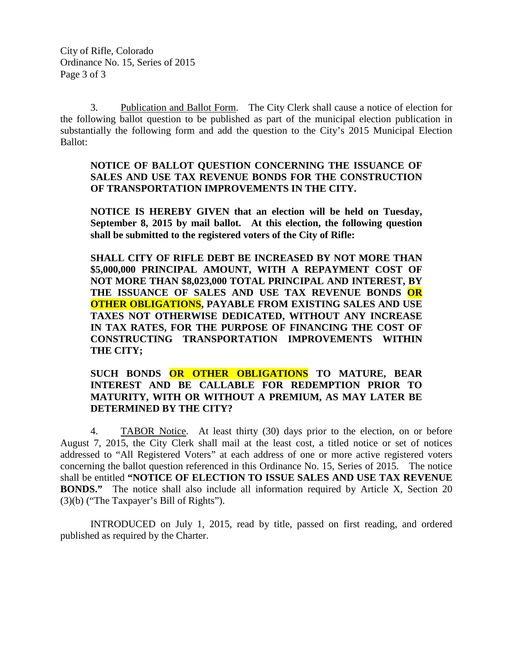3. Publication and Ballot Form. The City Clerk shall cause a notice of election for the following ballot question to be published as part of the municipal election publication in substantially the following form and add the question to the City's 2015 Municipal Election Ballot:

## **NOTICE OF BALLOT QUESTION CONCERNING THE ISSUANCE OF SALES AND USE TAX REVENUE BONDS FOR THE CONSTRUCTION OF TRANSPORTATION IMPROVEMENTS IN THE CITY.**

**NOTICE IS HEREBY GIVEN that an election will be held on Tuesday, September 8, 2015 by mail ballot. At this election, the following question shall be submitted to the registered voters of the City of Rifle:**

**SHALL CITY OF RIFLE DEBT BE INCREASED BY NOT MORE THAN \$5,000,000 PRINCIPAL AMOUNT, WITH A REPAYMENT COST OF NOT MORE THAN \$8,023,000 TOTAL PRINCIPAL AND INTEREST, BY THE ISSUANCE OF SALES AND USE TAX REVENUE BONDS OR OTHER OBLIGATIONS, PAYABLE FROM EXISTING SALES AND USE TAXES NOT OTHERWISE DEDICATED, WITHOUT ANY INCREASE IN TAX RATES, FOR THE PURPOSE OF FINANCING THE COST OF CONSTRUCTING TRANSPORTATION IMPROVEMENTS WITHIN THE CITY;**

## **SUCH BONDS OR OTHER OBLIGATIONS TO MATURE, BEAR INTEREST AND BE CALLABLE FOR REDEMPTION PRIOR TO MATURITY, WITH OR WITHOUT A PREMIUM, AS MAY LATER BE DETERMINED BY THE CITY?**

4. TABOR Notice. At least thirty (30) days prior to the election, on or before August 7, 2015, the City Clerk shall mail at the least cost, a titled notice or set of notices addressed to "All Registered Voters" at each address of one or more active registered voters concerning the ballot question referenced in this Ordinance No. 15, Series of 2015. The notice shall be entitled **"NOTICE OF ELECTION TO ISSUE SALES AND USE TAX REVENUE BONDS."** The notice shall also include all information required by Article X, Section 20 (3)(b) ("The Taxpayer's Bill of Rights").

INTRODUCED on July 1, 2015, read by title, passed on first reading, and ordered published as required by the Charter.